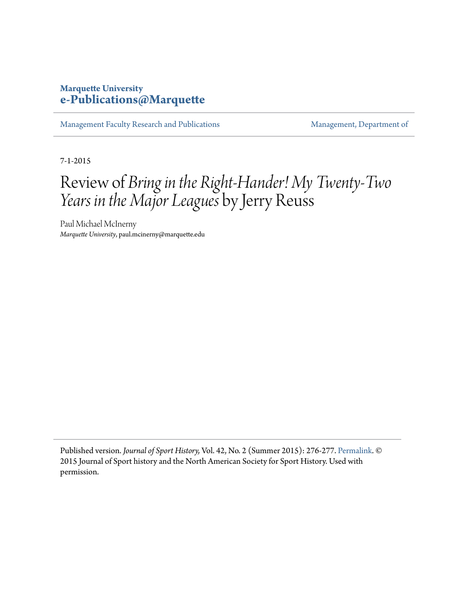## **Marquette University [e-Publications@Marquette](https://epublications.marquette.edu)**

[Management Faculty Research and Publications](https://epublications.marquette.edu/mgmt_fac) [Management, Department of](https://epublications.marquette.edu/mgmt)

7-1-2015

## Review of *Bring in the Right-Hander! My Twenty-Two Years in the Major Leagues* by Jerry Reuss

Paul Michael McInerny *Marquette University*, paul.mcinerny@marquette.edu

Published version. *Journal of Sport History,* Vol. 42, No. 2 (Summer 2015): 276-277. [Permalink.](http://www.jstor.org/stable/10.5406/jsporthistory.42.2.0276) © 2015 Journal of Sport history and the North American Society for Sport History. Used with permission.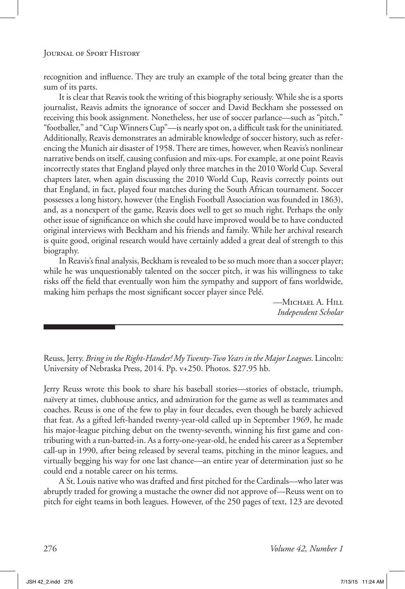Reuss, Jerry. *Bring in the Right-Hander! My Twenty-Two Years in the Major Leagues*. Lincoln: University of Nebraska Press, 2014. Pp. v+250. Photos. \$27.95 hb.

Jerry Reuss wrote this book to share his baseball stories—stories of obstacle, triumph, naïvety at times, clubhouse antics, and admiration for the game as well as teammates and coaches. Reuss is one of the few to play in four decades, even though he barely achieved that feat. As a gifted left-handed twenty-year-old called up in September 1969, he made his major-league pitching debut on the twenty-seventh, winning his first game and contributing with a run-batted-in. As a forty-one-year-old, he ended his career as a September call-up in 1990, after being released by several teams, pitching in the minor leagues, and virtually begging his way for one last chance—an entire year of determination just so he could end a notable career on his terms.

A St. Louis native who was drafted and first pitched for the Cardinals—who later was abruptly traded for growing a mustache the owner did not approve of—Reuss went on to pitch for eight teams in both leagues. However, of the 250 pages of text, 123 are devoted